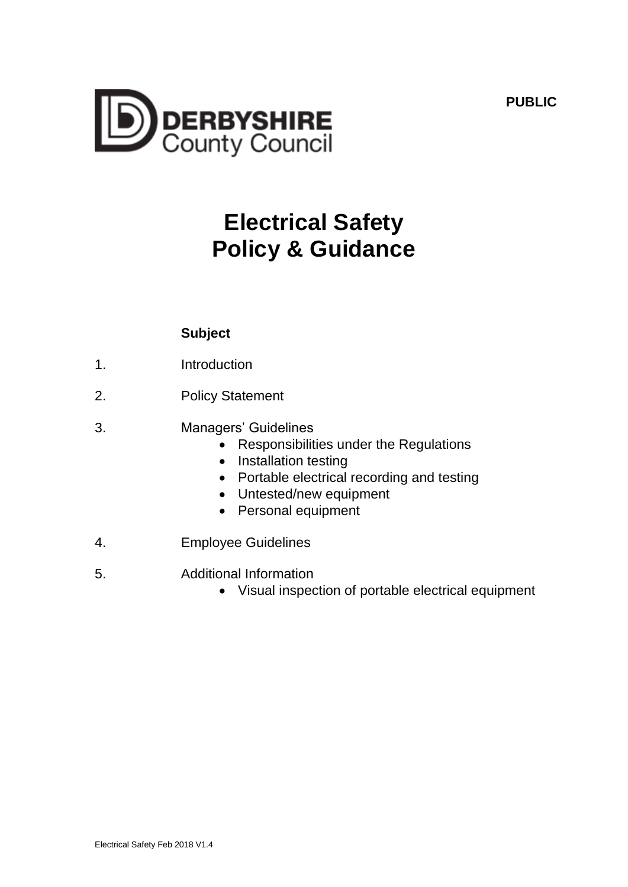**PUBLIC**



# **Electrical Safety Policy & Guidance**

# **Subject**

- 1. Introduction
- 2. Policy Statement
- 3. Managers' Guidelines
	- Responsibilities under the Regulations
	- Installation testing
	- Portable electrical recording and testing
	- Untested/new equipment
	- Personal equipment
- 4. Employee Guidelines
- 5. Additional Information
	- Visual inspection of portable electrical equipment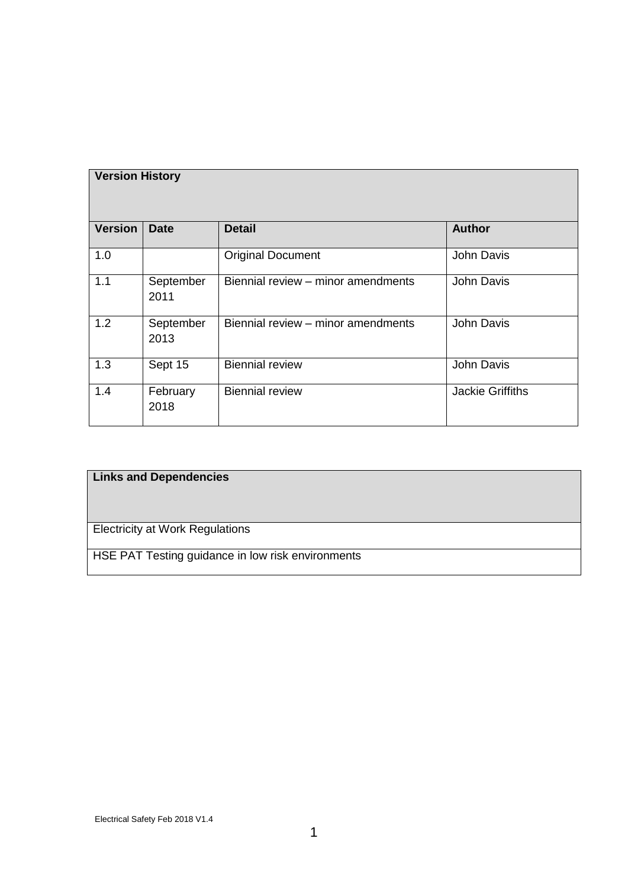| <b>Version History</b> |                   |                                    |                         |
|------------------------|-------------------|------------------------------------|-------------------------|
| <b>Version</b>         | <b>Date</b>       | <b>Detail</b>                      | <b>Author</b>           |
| 1.0                    |                   | <b>Original Document</b>           | John Davis              |
| 1.1                    | September<br>2011 | Biennial review - minor amendments | John Davis              |
| 1.2                    | September<br>2013 | Biennial review - minor amendments | <b>John Davis</b>       |
| 1.3                    | Sept 15           | <b>Biennial review</b>             | <b>John Davis</b>       |
| 1.4                    | February<br>2018  | <b>Biennial review</b>             | <b>Jackie Griffiths</b> |

# **Links and Dependencies**

Electricity at Work Regulations

HSE PAT Testing guidance in low risk environments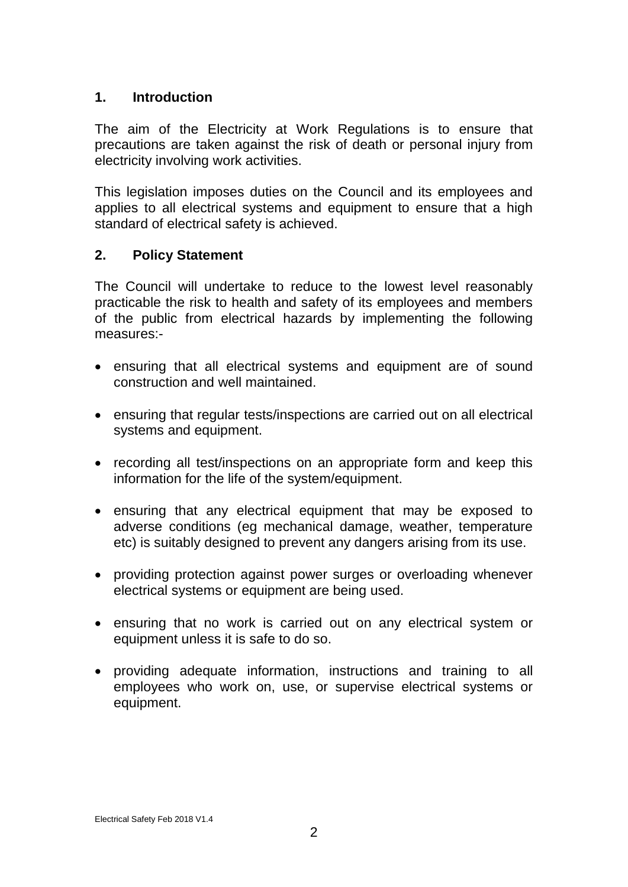## **1. Introduction**

The aim of the Electricity at Work Regulations is to ensure that precautions are taken against the risk of death or personal injury from electricity involving work activities.

This legislation imposes duties on the Council and its employees and applies to all electrical systems and equipment to ensure that a high standard of electrical safety is achieved.

## **2. Policy Statement**

The Council will undertake to reduce to the lowest level reasonably practicable the risk to health and safety of its employees and members of the public from electrical hazards by implementing the following measures:-

- ensuring that all electrical systems and equipment are of sound construction and well maintained.
- ensuring that regular tests/inspections are carried out on all electrical systems and equipment.
- recording all test/inspections on an appropriate form and keep this information for the life of the system/equipment.
- ensuring that any electrical equipment that may be exposed to adverse conditions (eg mechanical damage, weather, temperature etc) is suitably designed to prevent any dangers arising from its use.
- providing protection against power surges or overloading whenever electrical systems or equipment are being used.
- ensuring that no work is carried out on any electrical system or equipment unless it is safe to do so.
- providing adequate information, instructions and training to all employees who work on, use, or supervise electrical systems or equipment.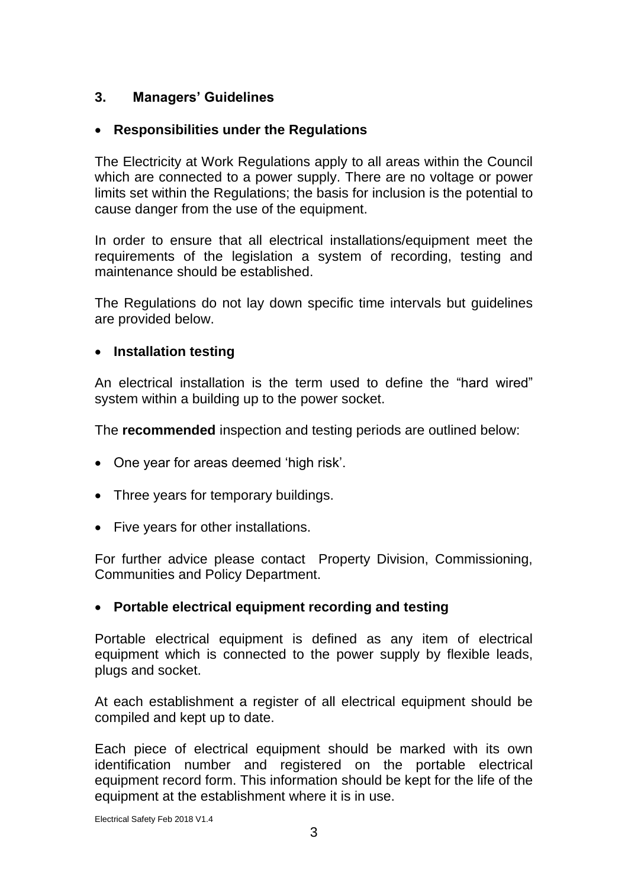# **3. Managers' Guidelines**

# **Responsibilities under the Regulations**

The Electricity at Work Regulations apply to all areas within the Council which are connected to a power supply. There are no voltage or power limits set within the Regulations; the basis for inclusion is the potential to cause danger from the use of the equipment.

In order to ensure that all electrical installations/equipment meet the requirements of the legislation a system of recording, testing and maintenance should be established.

The Regulations do not lay down specific time intervals but guidelines are provided below.

# **Installation testing**

An electrical installation is the term used to define the "hard wired" system within a building up to the power socket.

The **recommended** inspection and testing periods are outlined below:

- One year for areas deemed 'high risk'.
- Three years for temporary buildings.
- Five years for other installations.

For further advice please contact Property Division, Commissioning, Communities and Policy Department.

#### **Portable electrical equipment recording and testing**

Portable electrical equipment is defined as any item of electrical equipment which is connected to the power supply by flexible leads, plugs and socket.

At each establishment a register of all electrical equipment should be compiled and kept up to date.

Each piece of electrical equipment should be marked with its own identification number and registered on the portable electrical equipment record form. This information should be kept for the life of the equipment at the establishment where it is in use.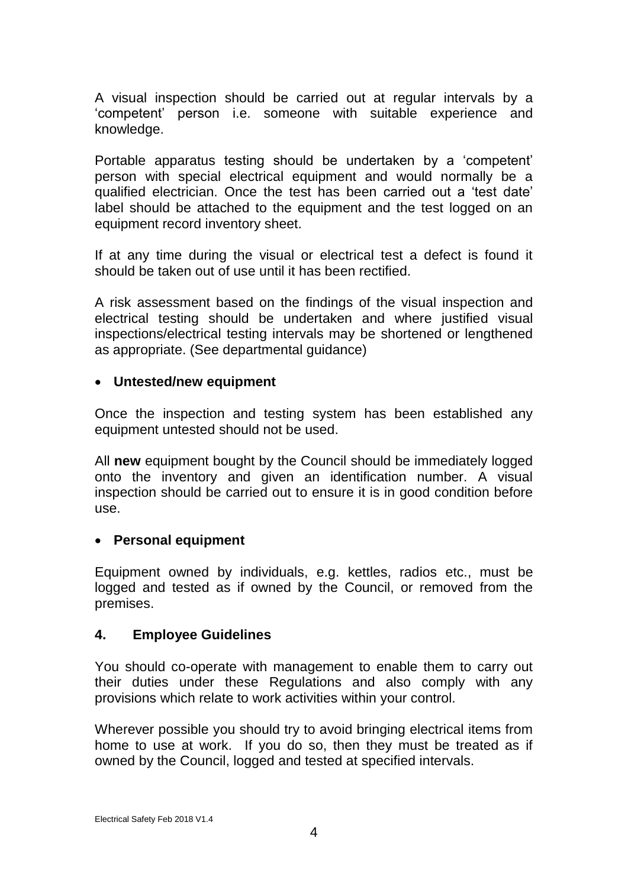A visual inspection should be carried out at regular intervals by a 'competent' person i.e. someone with suitable experience and knowledge.

Portable apparatus testing should be undertaken by a 'competent' person with special electrical equipment and would normally be a qualified electrician. Once the test has been carried out a 'test date' label should be attached to the equipment and the test logged on an equipment record inventory sheet.

If at any time during the visual or electrical test a defect is found it should be taken out of use until it has been rectified.

A risk assessment based on the findings of the visual inspection and electrical testing should be undertaken and where justified visual inspections/electrical testing intervals may be shortened or lengthened as appropriate. (See departmental guidance)

## **Untested/new equipment**

Once the inspection and testing system has been established any equipment untested should not be used.

All **new** equipment bought by the Council should be immediately logged onto the inventory and given an identification number. A visual inspection should be carried out to ensure it is in good condition before use.

# **Personal equipment**

Equipment owned by individuals, e.g. kettles, radios etc., must be logged and tested as if owned by the Council, or removed from the premises.

# **4. Employee Guidelines**

You should co-operate with management to enable them to carry out their duties under these Regulations and also comply with any provisions which relate to work activities within your control.

Wherever possible you should try to avoid bringing electrical items from home to use at work. If you do so, then they must be treated as if owned by the Council, logged and tested at specified intervals.